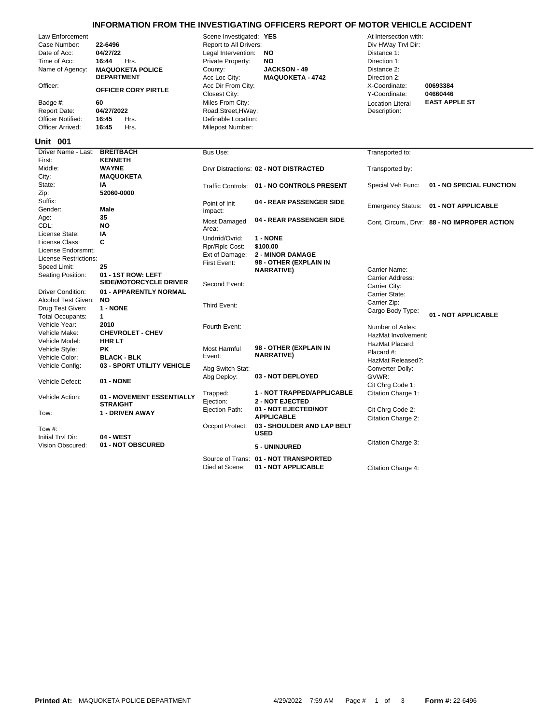## **INFORMATION FROM THE INVESTIGATING OFFICERS REPORT OF MOTOR VEHICLE ACCIDENT**

| Law Enforcement<br>Case Number:<br>Date of Acc:<br>Time of Acc:<br>Name of Agency:<br>Officer:<br>Badge #:<br><b>Report Date:</b><br><b>Officer Notified:</b><br>Officer Arrived: | 22-6496<br>04/27/22<br>16:44<br>Hrs.<br><b>MAQUOKETA POLICE</b><br><b>DEPARTMENT</b><br><b>OFFICER CORY PIRTLE</b><br>60<br>04/27/2022<br>16:45<br>Hrs.<br>16:45<br>Hrs. | Scene Investigated: YES<br>Report to All Drivers:<br>Legal Intervention:<br>Private Property:<br>County:<br>Acc Loc City:<br>Acc Dir From City:<br>Closest City:<br>Miles From City:<br>Road, Street, HWay:<br>Definable Location:<br>Milepost Number: | NO<br>NO<br><b>JACKSON - 49</b><br><b>MAQUOKETA - 4742</b> | At Intersection with:<br>Div HWay Trvl Dir:<br>Distance 1:<br>Direction 1:<br>Distance 2:<br>Direction 2:<br>X-Coordinate:<br>Y-Coordinate:<br><b>Location Literal</b><br>Description: | 00693384<br>04660446<br><b>EAST APPLE ST</b> |
|-----------------------------------------------------------------------------------------------------------------------------------------------------------------------------------|--------------------------------------------------------------------------------------------------------------------------------------------------------------------------|--------------------------------------------------------------------------------------------------------------------------------------------------------------------------------------------------------------------------------------------------------|------------------------------------------------------------|----------------------------------------------------------------------------------------------------------------------------------------------------------------------------------------|----------------------------------------------|
| <b>Unit 001</b>                                                                                                                                                                   |                                                                                                                                                                          |                                                                                                                                                                                                                                                        |                                                            |                                                                                                                                                                                        |                                              |
| Driver Name - Last:                                                                                                                                                               | <b>BREITBACH</b>                                                                                                                                                         | Bus Use:                                                                                                                                                                                                                                               |                                                            | Transported to:                                                                                                                                                                        |                                              |
| First:<br>Middle:                                                                                                                                                                 | <b>KENNETH</b><br><b>WAYNE</b>                                                                                                                                           |                                                                                                                                                                                                                                                        | Drvr Distractions: 02 - NOT DISTRACTED                     | Transported by:                                                                                                                                                                        |                                              |
| City:                                                                                                                                                                             | <b>MAQUOKETA</b>                                                                                                                                                         |                                                                                                                                                                                                                                                        |                                                            |                                                                                                                                                                                        |                                              |
| State:<br>Zip:                                                                                                                                                                    | ΙA<br>52060-0000                                                                                                                                                         | <b>Traffic Controls:</b>                                                                                                                                                                                                                               | 01 - NO CONTROLS PRESENT                                   | Special Veh Func:                                                                                                                                                                      | 01 - NO SPECIAL FUNCTION                     |
| Suffix:                                                                                                                                                                           |                                                                                                                                                                          | Point of Init                                                                                                                                                                                                                                          | 04 - REAR PASSENGER SIDE                                   |                                                                                                                                                                                        | 01 - NOT APPLICABLE                          |
| Gender:                                                                                                                                                                           | <b>Male</b>                                                                                                                                                              | Impact:                                                                                                                                                                                                                                                |                                                            | <b>Emergency Status:</b>                                                                                                                                                               |                                              |
| Age:<br>CDL:                                                                                                                                                                      | 35<br><b>NO</b>                                                                                                                                                          | Most Damaged                                                                                                                                                                                                                                           | 04 - REAR PASSENGER SIDE                                   |                                                                                                                                                                                        | Cont. Circum., Drvr: 88 - NO IMPROPER ACTION |
| License State:                                                                                                                                                                    | IA                                                                                                                                                                       | Area:                                                                                                                                                                                                                                                  |                                                            |                                                                                                                                                                                        |                                              |
| License Class:                                                                                                                                                                    | C                                                                                                                                                                        | Undrrid/Ovrid:                                                                                                                                                                                                                                         | 1 - NONE<br>\$100.00                                       |                                                                                                                                                                                        |                                              |
| License Endorsmnt:                                                                                                                                                                |                                                                                                                                                                          | Rpr/Rplc Cost:<br>Ext of Damage:                                                                                                                                                                                                                       | <b>2 - MINOR DAMAGE</b>                                    |                                                                                                                                                                                        |                                              |
| License Restrictions:                                                                                                                                                             |                                                                                                                                                                          | First Event:                                                                                                                                                                                                                                           | 98 - OTHER (EXPLAIN IN                                     |                                                                                                                                                                                        |                                              |
| Speed Limit:                                                                                                                                                                      | 25<br>01 - 1ST ROW: LEFT                                                                                                                                                 |                                                                                                                                                                                                                                                        | <b>NARRATIVE)</b>                                          | Carrier Name:                                                                                                                                                                          |                                              |
| Seating Position:                                                                                                                                                                 | <b>SIDE/MOTORCYCLE DRIVER</b>                                                                                                                                            | Second Event:                                                                                                                                                                                                                                          |                                                            | Carrier Address:<br>Carrier City:                                                                                                                                                      |                                              |
| <b>Driver Condition:</b>                                                                                                                                                          | 01 - APPARENTLY NORMAL                                                                                                                                                   |                                                                                                                                                                                                                                                        |                                                            | Carrier State:                                                                                                                                                                         |                                              |
| Alcohol Test Given:                                                                                                                                                               | <b>NO</b><br>1 - NONE                                                                                                                                                    | Third Event:                                                                                                                                                                                                                                           |                                                            | Carrier Zip:                                                                                                                                                                           |                                              |
| Drug Test Given:<br><b>Total Occupants:</b>                                                                                                                                       | $\mathbf{1}$                                                                                                                                                             |                                                                                                                                                                                                                                                        |                                                            | Cargo Body Type:                                                                                                                                                                       | 01 - NOT APPLICABLE                          |
| Vehicle Year:                                                                                                                                                                     | 2010                                                                                                                                                                     | Fourth Event:                                                                                                                                                                                                                                          |                                                            | Number of Axles:                                                                                                                                                                       |                                              |
| Vehicle Make:                                                                                                                                                                     | <b>CHEVROLET - CHEV</b>                                                                                                                                                  |                                                                                                                                                                                                                                                        |                                                            | HazMat Involvement:                                                                                                                                                                    |                                              |
| Vehicle Model:                                                                                                                                                                    | <b>HHRLT</b>                                                                                                                                                             |                                                                                                                                                                                                                                                        |                                                            | HazMat Placard:                                                                                                                                                                        |                                              |
| Vehicle Style:                                                                                                                                                                    | <b>PK</b>                                                                                                                                                                | <b>Most Harmful</b><br>Event:                                                                                                                                                                                                                          | 98 - OTHER (EXPLAIN IN<br><b>NARRATIVE)</b>                | Placard #:                                                                                                                                                                             |                                              |
| Vehicle Color:                                                                                                                                                                    | <b>BLACK - BLK</b><br>03 - SPORT UTILITY VEHICLE                                                                                                                         |                                                                                                                                                                                                                                                        |                                                            | HazMat Released?:                                                                                                                                                                      |                                              |
| Vehicle Config:                                                                                                                                                                   |                                                                                                                                                                          | Abg Switch Stat:                                                                                                                                                                                                                                       |                                                            | Converter Dolly:                                                                                                                                                                       |                                              |
| Vehicle Defect:                                                                                                                                                                   | 01 - NONE                                                                                                                                                                | Abg Deploy:                                                                                                                                                                                                                                            | 03 - NOT DEPLOYED                                          | GVWR:<br>Cit Chrg Code 1:                                                                                                                                                              |                                              |
| Vehicle Action:                                                                                                                                                                   | 01 - MOVEMENT ESSENTIALLY                                                                                                                                                | Trapped:<br>Ejection:                                                                                                                                                                                                                                  | 1 - NOT TRAPPED/APPLICABLE<br><b>2 - NOT EJECTED</b>       | Citation Charge 1:                                                                                                                                                                     |                                              |
| Tow:                                                                                                                                                                              | <b>STRAIGHT</b><br><b>1 - DRIVEN AWAY</b>                                                                                                                                | Ejection Path:                                                                                                                                                                                                                                         | 01 - NOT EJECTED/NOT<br><b>APPLICABLE</b>                  | Cit Chrg Code 2:                                                                                                                                                                       |                                              |
| Tow #:                                                                                                                                                                            |                                                                                                                                                                          | Occpnt Protect:                                                                                                                                                                                                                                        | 03 - SHOULDER AND LAP BELT<br><b>USED</b>                  | Citation Charge 2:                                                                                                                                                                     |                                              |
| Initial Trvl Dir:<br>Vision Obscured:                                                                                                                                             | <b>04 - WEST</b><br>01 - NOT OBSCURED                                                                                                                                    |                                                                                                                                                                                                                                                        | 5 - UNINJURED                                              | Citation Charge 3:                                                                                                                                                                     |                                              |
|                                                                                                                                                                                   |                                                                                                                                                                          |                                                                                                                                                                                                                                                        | Source of Trans: 01 - NOT TRANSPORTED                      |                                                                                                                                                                                        |                                              |

Died at Scene: **01 - NOT APPLICABLE** Citation Charge 4: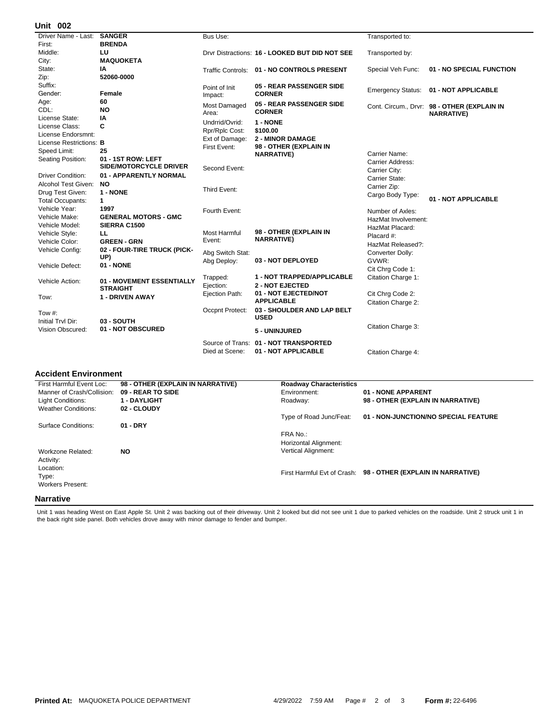## **002 Unit**

| אט וווי                  |                             |                     |                                                |                          |                                             |
|--------------------------|-----------------------------|---------------------|------------------------------------------------|--------------------------|---------------------------------------------|
| Driver Name - Last:      | <b>SANGER</b>               | <b>Bus Use:</b>     |                                                | Transported to:          |                                             |
| First:                   | <b>BRENDA</b>               |                     |                                                |                          |                                             |
| Middle:                  | LU                          |                     | Drvr Distractions: 16 - LOOKED BUT DID NOT SEE | Transported by:          |                                             |
| City:                    | <b>MAQUOKETA</b>            |                     |                                                |                          |                                             |
| State:                   | IA                          |                     | Traffic Controls: 01 - NO CONTROLS PRESENT     | Special Veh Func:        | 01 - NO SPECIAL FUNCTION                    |
| Zip:                     | 52060-0000                  |                     |                                                |                          |                                             |
| Suffix:                  |                             | Point of Init       | 05 - REAR PASSENGER SIDE                       |                          | 01 - NOT APPLICABLE                         |
| Gender:                  | Female                      | Impact:             | <b>CORNER</b>                                  | <b>Emergency Status:</b> |                                             |
| Age:                     | 60                          | Most Damaged        | 05 - REAR PASSENGER SIDE                       |                          | Cont. Circum., Drvr: 98 - OTHER (EXPLAIN IN |
| CDL:                     | <b>NO</b>                   | Area:               | <b>CORNER</b>                                  |                          | <b>NARRATIVE)</b>                           |
| License State:           | ΙA                          | Undrrid/Ovrid:      | 1 - NONE                                       |                          |                                             |
| License Class:           | C                           | Rpr/Rplc Cost:      | \$100.00                                       |                          |                                             |
| License Endorsmnt:       |                             | Ext of Damage:      | <b>2 - MINOR DAMAGE</b>                        |                          |                                             |
| License Restrictions: B  |                             | First Event:        | 98 - OTHER (EXPLAIN IN                         |                          |                                             |
| Speed Limit:             | 25                          |                     | <b>NARRATIVE)</b>                              | Carrier Name:            |                                             |
| Seating Position:        | 01 - 1ST ROW: LEFT          |                     |                                                | Carrier Address:         |                                             |
|                          | SIDE/MOTORCYCLE DRIVER      | Second Event:       |                                                | Carrier City:            |                                             |
| <b>Driver Condition:</b> | 01 - APPARENTLY NORMAL      |                     |                                                | Carrier State:           |                                             |
| Alcohol Test Given:      | <b>NO</b>                   |                     |                                                | Carrier Zip:             |                                             |
| Drug Test Given:         | 1 - NONE                    | Third Event:        |                                                | Cargo Body Type:         |                                             |
| <b>Total Occupants:</b>  | $\mathbf{1}$                |                     |                                                |                          | 01 - NOT APPLICABLE                         |
| Vehicle Year:            | 1997                        | Fourth Event:       |                                                | Number of Axles:         |                                             |
| Vehicle Make:            | <b>GENERAL MOTORS - GMC</b> |                     |                                                | HazMat Involvement:      |                                             |
| Vehicle Model:           | SIERRA C1500                |                     |                                                | HazMat Placard:          |                                             |
| Vehicle Style:           | LL                          | <b>Most Harmful</b> | 98 - OTHER (EXPLAIN IN                         | Placard #:               |                                             |
| Vehicle Color:           | <b>GREEN - GRN</b>          | Event:              | <b>NARRATIVE)</b>                              | HazMat Released?:        |                                             |
| Vehicle Config:          | 02 - FOUR-TIRE TRUCK (PICK- | Abg Switch Stat:    |                                                | Converter Dolly:         |                                             |
|                          | UP)                         | Abg Deploy:         | 03 - NOT DEPLOYED                              | GVWR:                    |                                             |
| Vehicle Defect:          | 01 - NONE                   |                     |                                                | Cit Chrq Code 1:         |                                             |
|                          |                             | Trapped:            | 1 - NOT TRAPPED/APPLICABLE                     | Citation Charge 1:       |                                             |
| Vehicle Action:          | 01 - MOVEMENT ESSENTIALLY   | Ejection:           | <b>2 - NOT EJECTED</b>                         |                          |                                             |
|                          | <b>STRAIGHT</b>             | Ejection Path:      | 01 - NOT EJECTED/NOT                           | Cit Chrg Code 2:         |                                             |
| Tow:                     | <b>1 - DRIVEN AWAY</b>      |                     | <b>APPLICABLE</b>                              | Citation Charge 2:       |                                             |
|                          |                             | Occpnt Protect:     | 03 - SHOULDER AND LAP BELT                     |                          |                                             |
| Tow $#$ :                |                             |                     | <b>USED</b>                                    |                          |                                             |
| Initial Trvl Dir:        | 03 - SOUTH                  |                     |                                                | Citation Charge 3:       |                                             |
| <b>Vision Obscured:</b>  | 01 - NOT OBSCURED           |                     | 5 - UNINJURED                                  |                          |                                             |
|                          |                             | Source of Trans:    | 01 - NOT TRANSPORTED                           |                          |                                             |
|                          |                             | Died at Scene:      | 01 - NOT APPLICABLE                            | Citation Charge 4:       |                                             |
|                          |                             |                     |                                                |                          |                                             |

## **Accident Environment**

| First Harmful Event Loc:   | 98 - OTHER (EXPLAIN IN NARRATIVE) | <b>Roadway Characteristics</b> |                                      |
|----------------------------|-----------------------------------|--------------------------------|--------------------------------------|
| Manner of Crash/Collision: | 09 - REAR TO SIDE                 | Environment:                   | 01 - NONE APPARENT                   |
| Light Conditions:          | <b>1 - DAYLIGHT</b>               | Roadway:                       | 98 - OTHER (EXPLAIN IN NARRATIVE)    |
| <b>Weather Conditions:</b> | 02 - CLOUDY                       |                                |                                      |
|                            |                                   | Type of Road Junc/Feat:        | 01 - NON-JUNCTION/NO SPECIAL FEATURE |
| Surface Conditions:        | $01 - DRY$                        |                                |                                      |
|                            |                                   | FRA No.:                       |                                      |
|                            |                                   | Horizontal Alignment:          |                                      |
| Workzone Related:          | <b>NO</b>                         | <b>Vertical Alignment:</b>     |                                      |
| Activity:                  |                                   |                                |                                      |
| Location:                  |                                   |                                |                                      |
| Type:                      |                                   | First Harmful Evt of Crash:    | 98 - OTHER (EXPLAIN IN NARRATIVE)    |
| <b>Workers Present:</b>    |                                   |                                |                                      |
|                            |                                   |                                |                                      |
| <b>Narrative</b>           |                                   |                                |                                      |

Unit 1 was heading West on East Apple St. Unit 2 was backing out of their driveway. Unit 2 looked but did not see unit 1 due to parked vehicles on the roadside. Unit 2 struck unit 1 in<br>the back right side panel. Both vehic